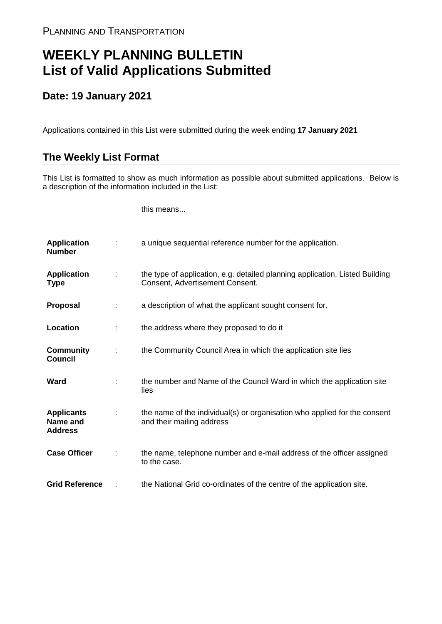## **WEEKLY PLANNING BULLETIN List of Valid Applications Submitted**

## **Date: 19 January 2021**

Applications contained in this List were submitted during the week ending **17 January 2021**

## **The Weekly List Format**

This List is formatted to show as much information as possible about submitted applications. Below is a description of the information included in the List:

this means...

| <b>Application</b><br><b>Number</b>             |   | a unique sequential reference number for the application.                                                       |
|-------------------------------------------------|---|-----------------------------------------------------------------------------------------------------------------|
| <b>Application</b><br>Type                      | ÷ | the type of application, e.g. detailed planning application, Listed Building<br>Consent, Advertisement Consent. |
| <b>Proposal</b>                                 | ÷ | a description of what the applicant sought consent for.                                                         |
| Location                                        |   | the address where they proposed to do it                                                                        |
| <b>Community</b><br><b>Council</b>              | ÷ | the Community Council Area in which the application site lies                                                   |
| Ward                                            |   | the number and Name of the Council Ward in which the application site<br>lies                                   |
| <b>Applicants</b><br>Name and<br><b>Address</b> |   | the name of the individual(s) or organisation who applied for the consent<br>and their mailing address          |
| <b>Case Officer</b>                             |   | the name, telephone number and e-mail address of the officer assigned<br>to the case.                           |
| <b>Grid Reference</b>                           |   | the National Grid co-ordinates of the centre of the application site.                                           |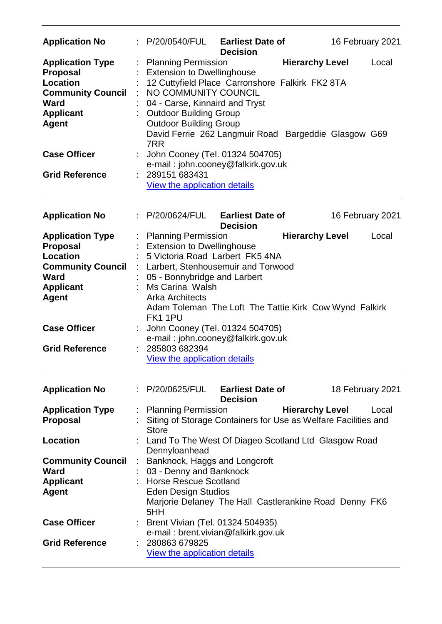| <b>Application No</b>                                                                                                                        | P/20/0540/FUL                                                                                                                                                                                                                                                                                                 | <b>Earliest Date of</b><br><b>Decision</b> |                        | 16 February 2021 |
|----------------------------------------------------------------------------------------------------------------------------------------------|---------------------------------------------------------------------------------------------------------------------------------------------------------------------------------------------------------------------------------------------------------------------------------------------------------------|--------------------------------------------|------------------------|------------------|
| <b>Application Type</b><br><b>Proposal</b><br><b>Location</b><br><b>Community Council</b><br><b>Ward</b><br><b>Applicant</b><br><b>Agent</b> | <b>Planning Permission</b><br><b>Extension to Dwellinghouse</b><br>12 Cuttyfield Place Carronshore Falkirk FK2 8TA<br>NO COMMUNITY COUNCIL<br>04 - Carse, Kinnaird and Tryst<br><b>Outdoor Building Group</b><br><b>Outdoor Building Group</b><br>David Ferrie 262 Langmuir Road Bargeddie Glasgow G69<br>7RR |                                            | <b>Hierarchy Level</b> | Local            |
| <b>Case Officer</b><br><b>Grid Reference</b>                                                                                                 | John Cooney (Tel. 01324 504705)<br>e-mail: john.cooney@falkirk.gov.uk<br>289151 683431<br>View the application details                                                                                                                                                                                        |                                            |                        |                  |
|                                                                                                                                              |                                                                                                                                                                                                                                                                                                               |                                            |                        |                  |
| <b>Application No</b>                                                                                                                        | : P/20/0624/FUL                                                                                                                                                                                                                                                                                               | <b>Earliest Date of</b><br><b>Decision</b> |                        | 16 February 2021 |
| <b>Application Type</b><br><b>Proposal</b>                                                                                                   | : Planning Permission<br><b>Extension to Dwellinghouse</b>                                                                                                                                                                                                                                                    |                                            | <b>Hierarchy Level</b> | Local            |
| Location                                                                                                                                     | 5 Victoria Road Larbert FK5 4NA                                                                                                                                                                                                                                                                               |                                            |                        |                  |
| <b>Community Council</b><br><b>Ward</b>                                                                                                      | : Larbert, Stenhousemuir and Torwood<br>05 - Bonnybridge and Larbert                                                                                                                                                                                                                                          |                                            |                        |                  |
| <b>Applicant</b>                                                                                                                             | Ms Carina Walsh                                                                                                                                                                                                                                                                                               |                                            |                        |                  |
| <b>Agent</b>                                                                                                                                 | <b>Arka Architects</b><br>Adam Toleman The Loft The Tattie Kirk Cow Wynd Falkirk<br>FK11PU                                                                                                                                                                                                                    |                                            |                        |                  |
| <b>Case Officer</b>                                                                                                                          | John Cooney (Tel. 01324 504705)<br>e-mail: john.cooney@falkirk.gov.uk                                                                                                                                                                                                                                         |                                            |                        |                  |
| <b>Grid Reference</b>                                                                                                                        | 285803 682394<br>View the application details                                                                                                                                                                                                                                                                 |                                            |                        |                  |
| <b>Application No</b>                                                                                                                        | : P/20/0625/FUL                                                                                                                                                                                                                                                                                               | <b>Earliest Date of</b><br><b>Decision</b> |                        | 18 February 2021 |
| <b>Application Type</b>                                                                                                                      | <b>Planning Permission</b>                                                                                                                                                                                                                                                                                    |                                            | <b>Hierarchy Level</b> | Local            |
| <b>Proposal</b>                                                                                                                              | Siting of Storage Containers for Use as Welfare Facilities and<br><b>Store</b>                                                                                                                                                                                                                                |                                            |                        |                  |
| <b>Location</b>                                                                                                                              | Land To The West Of Diageo Scotland Ltd Glasgow Road<br>Dennyloanhead                                                                                                                                                                                                                                         |                                            |                        |                  |
| <b>Community Council</b>                                                                                                                     | Banknock, Haggs and Longcroft                                                                                                                                                                                                                                                                                 |                                            |                        |                  |
| <b>Ward</b>                                                                                                                                  | 03 - Denny and Banknock                                                                                                                                                                                                                                                                                       |                                            |                        |                  |
| <b>Applicant</b><br><b>Agent</b>                                                                                                             | <b>Horse Rescue Scotland</b><br><b>Eden Design Studios</b><br>Marjorie Delaney The Hall Castlerankine Road Denny FK6<br>5HH                                                                                                                                                                                   |                                            |                        |                  |
| <b>Case Officer</b>                                                                                                                          | : Brent Vivian (Tel. 01324 504935)                                                                                                                                                                                                                                                                            |                                            |                        |                  |
| <b>Grid Reference</b>                                                                                                                        | e-mail: brent.vivian@falkirk.gov.uk<br>280863 679825                                                                                                                                                                                                                                                          |                                            |                        |                  |
|                                                                                                                                              | View the application details                                                                                                                                                                                                                                                                                  |                                            |                        |                  |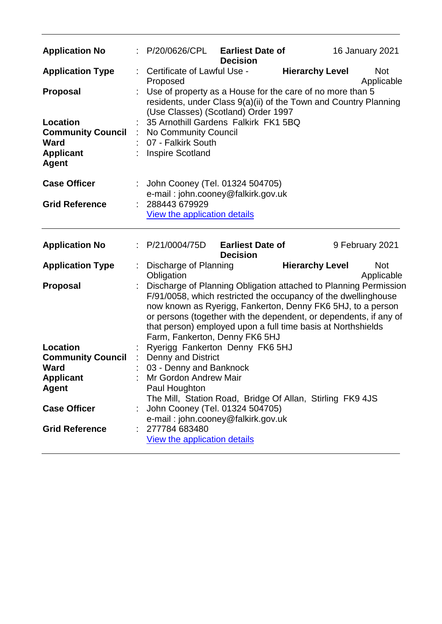| <b>Application No</b>                                                                                      | $\therefore$ P/20/0626/CPL Earliest Date of                                                                                                                                                                                                                                                                                                                              | <b>Decision</b>                            |                        | <b>16 January 2021</b>   |
|------------------------------------------------------------------------------------------------------------|--------------------------------------------------------------------------------------------------------------------------------------------------------------------------------------------------------------------------------------------------------------------------------------------------------------------------------------------------------------------------|--------------------------------------------|------------------------|--------------------------|
| <b>Application Type</b>                                                                                    | Certificate of Lawful Use -<br>Proposed                                                                                                                                                                                                                                                                                                                                  |                                            | <b>Hierarchy Level</b> | <b>Not</b><br>Applicable |
| <b>Proposal</b><br>Location<br><b>Community Council</b><br><b>Ward</b><br><b>Applicant</b><br><b>Agent</b> | Use of property as a House for the care of no more than 5<br>residents, under Class 9(a)(ii) of the Town and Country Planning<br>(Use Classes) (Scotland) Order 1997<br>35 Arnothill Gardens Falkirk FK1 5BQ<br>: No Community Council<br>07 - Falkirk South<br><b>Inspire Scotland</b>                                                                                  |                                            |                        |                          |
| <b>Case Officer</b>                                                                                        | John Cooney (Tel. 01324 504705)<br>e-mail: john.cooney@falkirk.gov.uk                                                                                                                                                                                                                                                                                                    |                                            |                        |                          |
| <b>Grid Reference</b>                                                                                      | 288443 679929<br>View the application details                                                                                                                                                                                                                                                                                                                            |                                            |                        |                          |
| <b>Application No</b>                                                                                      | P/21/0004/75D                                                                                                                                                                                                                                                                                                                                                            | <b>Earliest Date of</b><br><b>Decision</b> |                        | 9 February 2021          |
| <b>Application Type</b>                                                                                    | Discharge of Planning<br>Obligation                                                                                                                                                                                                                                                                                                                                      |                                            | <b>Hierarchy Level</b> | <b>Not</b><br>Applicable |
| Proposal                                                                                                   | Discharge of Planning Obligation attached to Planning Permission<br>F/91/0058, which restricted the occupancy of the dwellinghouse<br>now known as Ryerigg, Fankerton, Denny FK6 5HJ, to a person<br>or persons (together with the dependent, or dependents, if any of<br>that person) employed upon a full time basis at Northshields<br>Farm, Fankerton, Denny FK6 5HJ |                                            |                        |                          |
| <b>Location</b>                                                                                            | Ryerigg Fankerton Denny FK6 5HJ                                                                                                                                                                                                                                                                                                                                          |                                            |                        |                          |
| <b>Community Council</b>                                                                                   | Denny and District                                                                                                                                                                                                                                                                                                                                                       |                                            |                        |                          |
| <b>Ward</b>                                                                                                | 03 - Denny and Banknock<br>Mr Gordon Andrew Mair                                                                                                                                                                                                                                                                                                                         |                                            |                        |                          |
| <b>Applicant</b><br><b>Agent</b>                                                                           | Paul Houghton                                                                                                                                                                                                                                                                                                                                                            |                                            |                        |                          |
| <b>Case Officer</b>                                                                                        | The Mill, Station Road, Bridge Of Allan, Stirling FK9 4JS<br>John Cooney (Tel. 01324 504705)<br>e-mail: john.cooney@falkirk.gov.uk                                                                                                                                                                                                                                       |                                            |                        |                          |
| <b>Grid Reference</b>                                                                                      | 277784 683480<br>View the application details                                                                                                                                                                                                                                                                                                                            |                                            |                        |                          |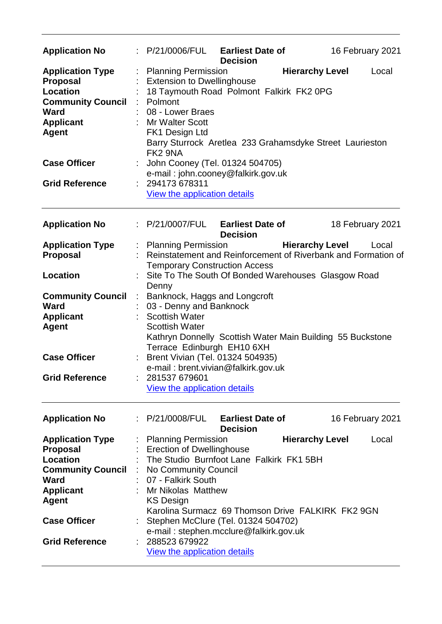| <b>Application No</b>                                                                                                                                                                        | P/21/0006/FUL                                                                                                                                                                                                                                                | <b>Earliest Date of</b><br><b>Decision</b>                                                                                | 16 February 2021                                                                                 |
|----------------------------------------------------------------------------------------------------------------------------------------------------------------------------------------------|--------------------------------------------------------------------------------------------------------------------------------------------------------------------------------------------------------------------------------------------------------------|---------------------------------------------------------------------------------------------------------------------------|--------------------------------------------------------------------------------------------------|
| <b>Application Type</b><br><b>Proposal</b><br><b>Location</b><br><b>Community Council</b><br><b>Ward</b><br><b>Applicant</b><br><b>Agent</b><br><b>Case Officer</b><br><b>Grid Reference</b> | <b>Planning Permission</b><br><b>Extension to Dwellinghouse</b><br>Polmont<br>08 - Lower Braes<br><b>Mr Walter Scott</b><br>FK1 Design Ltd<br>FK <sub>2</sub> 9NA<br>John Cooney (Tel. 01324 504705)<br>294173 678311<br><b>View the application details</b> | 18 Taymouth Road Polmont Falkirk FK2 0PG<br>e-mail: john.cooney@falkirk.gov.uk                                            | <b>Hierarchy Level</b><br>Local<br>Barry Sturrock Aretlea 233 Grahamsdyke Street Laurieston      |
| <b>Application No</b>                                                                                                                                                                        | : P/21/0007/FUL                                                                                                                                                                                                                                              | <b>Earliest Date of</b><br><b>Decision</b>                                                                                | 18 February 2021                                                                                 |
| <b>Application Type</b><br><b>Proposal</b>                                                                                                                                                   | : Planning Permission<br><b>Temporary Construction Access</b>                                                                                                                                                                                                |                                                                                                                           | <b>Hierarchy Level</b><br>Local<br>Reinstatement and Reinforcement of Riverbank and Formation of |
| <b>Location</b>                                                                                                                                                                              | Denny                                                                                                                                                                                                                                                        |                                                                                                                           | Site To The South Of Bonded Warehouses Glasgow Road                                              |
| <b>Community Council</b><br><b>Ward</b><br><b>Applicant</b><br><b>Agent</b>                                                                                                                  | Banknock, Haggs and Longcroft<br>$\mathbb{C}$<br>03 - Denny and Banknock<br><b>Scottish Water</b><br><b>Scottish Water</b><br>Terrace Edinburgh EH10 6XH                                                                                                     |                                                                                                                           | Kathryn Donnelly Scottish Water Main Building 55 Buckstone                                       |
| <b>Case Officer</b><br><b>Grid Reference</b>                                                                                                                                                 | Brent Vivian (Tel. 01324 504935)<br>e-mail: brent.vivian@falkirk.gov.uk<br>281537 679601<br>View the application details                                                                                                                                     |                                                                                                                           |                                                                                                  |
| <b>Application No</b>                                                                                                                                                                        | : P/21/0008/FUL                                                                                                                                                                                                                                              | <b>Earliest Date of</b><br><b>Decision</b>                                                                                | 16 February 2021                                                                                 |
| <b>Application Type</b><br><b>Proposal</b><br><b>Location</b><br><b>Community Council</b><br><b>Ward</b><br><b>Applicant</b><br><b>Agent</b><br><b>Case Officer</b><br><b>Grid Reference</b> | <b>Planning Permission</b><br>Erection of Dwellinghouse<br>No Community Council<br>07 - Falkirk South<br><b>Mr Nikolas Matthew</b><br><b>KS Design</b><br>288523 679922<br><b>View the application details</b>                                               | The Studio Burnfoot Lane Falkirk FK1 5BH<br>Stephen McClure (Tel. 01324 504702)<br>e-mail: stephen.mcclure@falkirk.gov.uk | <b>Hierarchy Level</b><br>Local<br>Karolina Surmacz 69 Thomson Drive FALKIRK FK2 9GN             |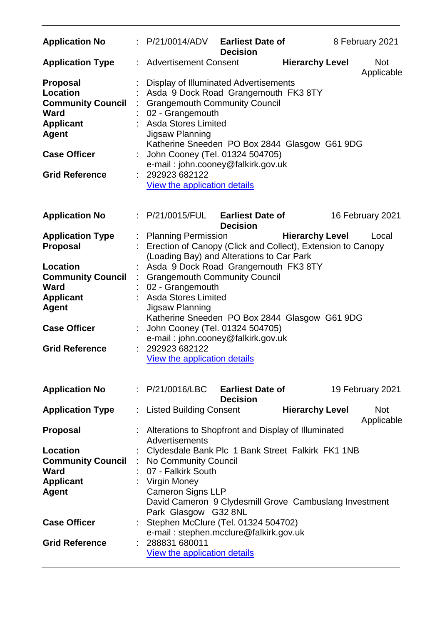| <b>Application No</b>                                                                                                                                      |                           | : P/21/0014/ADV                                                                                                                                                                                                                                                                                                                                                                | <b>Earliest Date of</b><br><b>Decision</b> |                        | 8 February 2021          |
|------------------------------------------------------------------------------------------------------------------------------------------------------------|---------------------------|--------------------------------------------------------------------------------------------------------------------------------------------------------------------------------------------------------------------------------------------------------------------------------------------------------------------------------------------------------------------------------|--------------------------------------------|------------------------|--------------------------|
| <b>Application Type</b>                                                                                                                                    |                           | <b>Advertisement Consent</b>                                                                                                                                                                                                                                                                                                                                                   |                                            | <b>Hierarchy Level</b> | <b>Not</b><br>Applicable |
| Proposal<br><b>Location</b><br><b>Community Council</b><br><b>Ward</b><br><b>Applicant</b><br><b>Agent</b><br><b>Case Officer</b><br><b>Grid Reference</b> | t.                        | <b>Display of Illuminated Advertisements</b><br>Asda 9 Dock Road Grangemouth FK3 8TY<br><b>Grangemouth Community Council</b><br>02 - Grangemouth<br>: Asda Stores Limited<br>Jigsaw Planning<br>Katherine Sneeden PO Box 2844 Glasgow G61 9DG<br>John Cooney (Tel. 01324 504705)<br>e-mail: john.cooney@falkirk.gov.uk<br>292923 682122<br><b>View the application details</b> |                                            |                        |                          |
| <b>Application No</b>                                                                                                                                      | $\mathbb{R}^{\mathbb{Z}}$ | P/21/0015/FUL                                                                                                                                                                                                                                                                                                                                                                  | <b>Earliest Date of</b><br><b>Decision</b> |                        | 16 February 2021         |
| <b>Application Type</b><br><b>Proposal</b>                                                                                                                 |                           | <b>Planning Permission</b><br>Erection of Canopy (Click and Collect), Extension to Canopy<br>(Loading Bay) and Alterations to Car Park                                                                                                                                                                                                                                         |                                            | <b>Hierarchy Level</b> | Local                    |
| Location<br><b>Community Council</b><br><b>Ward</b><br><b>Applicant</b>                                                                                    | ÷.                        | Asda 9 Dock Road Grangemouth FK3 8TY<br><b>Grangemouth Community Council</b><br>02 - Grangemouth<br><b>Asda Stores Limited</b>                                                                                                                                                                                                                                                 |                                            |                        |                          |
| <b>Agent</b>                                                                                                                                               |                           | Jigsaw Planning<br>Katherine Sneeden PO Box 2844 Glasgow G61 9DG                                                                                                                                                                                                                                                                                                               |                                            |                        |                          |
| <b>Case Officer</b><br><b>Grid Reference</b>                                                                                                               |                           | John Cooney (Tel. 01324 504705)<br>e-mail: john.cooney@falkirk.gov.uk<br>292923 682122<br>View the application details                                                                                                                                                                                                                                                         |                                            |                        |                          |
| <b>Application No</b>                                                                                                                                      |                           | : P/21/0016/LBC                                                                                                                                                                                                                                                                                                                                                                | <b>Earliest Date of</b>                    |                        | 19 February 2021         |
| <b>Application Type</b>                                                                                                                                    |                           | <b>Listed Building Consent</b>                                                                                                                                                                                                                                                                                                                                                 | <b>Decision</b>                            | <b>Hierarchy Level</b> | <b>Not</b><br>Applicable |
| <b>Proposal</b>                                                                                                                                            |                           | Alterations to Shopfront and Display of Illuminated<br>Advertisements                                                                                                                                                                                                                                                                                                          |                                            |                        |                          |
| Location<br><b>Community Council</b><br><b>Ward</b><br><b>Applicant</b><br><b>Agent</b>                                                                    |                           | Clydesdale Bank Plc 1 Bank Street Falkirk FK1 1NB<br>No Community Council<br>07 - Falkirk South<br><b>Virgin Money</b><br><b>Cameron Signs LLP</b><br>David Cameron 9 Clydesmill Grove Cambuslang Investment                                                                                                                                                                   |                                            |                        |                          |
| <b>Case Officer</b>                                                                                                                                        |                           | Park Glasgow G32 8NL<br>Stephen McClure (Tel. 01324 504702)<br>e-mail: stephen.mcclure@falkirk.gov.uk                                                                                                                                                                                                                                                                          |                                            |                        |                          |
| <b>Grid Reference</b>                                                                                                                                      |                           | 288831 680011<br>View the application details                                                                                                                                                                                                                                                                                                                                  |                                            |                        |                          |